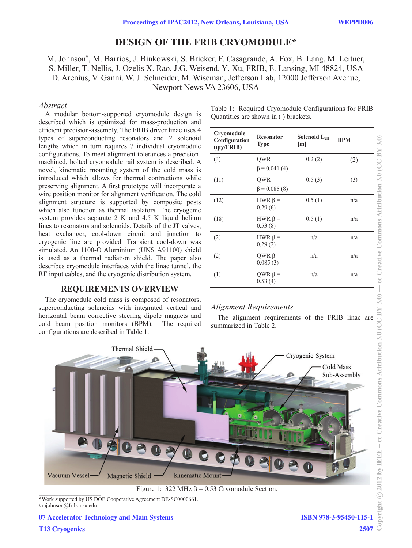# **DESIGN OF THE FRIB CRYOMODULE\***

# M. Johnson<sup>#</sup>, M. Barrios, J. Binkowski, S. Bricker, F. Casagrande, A. Fox, B. Lang, M. Leitner, S. Miller, T. Nellis, J. Ozelis X. Rao, J.G. Weisend, Y. Xu, FRIB, E. Lansing, MI 48824, USA D. Arenius, V. Ganni, W. J. Schneider, M. Wiseman, Jefferson Lab, 12000 Jefferson Avenue, Newport News VA 23606, USA

#### *Abstract*

A modular bottom-supported cryomodule design is described which is optimized for mass-production and efficient precision-assembly. The FRIB driver linac uses 4 types of superconducting resonators and 2 solenoid lengths which in turn requires 7 individual cryomodule configurations. To meet alignment tolerances a precisionmachined, bolted cryomodule rail system is described. A novel, kinematic mounting system of the cold mass is introduced which allows for thermal contractions while preserving alignment. A first prototype will incorporate a wire position monitor for alignment verification. The cold alignment structure is supported by composite posts which also function as thermal isolators. The cryogenic system provides separate 2 K and 4.5 K liquid helium lines to resonators and solenoids. Details of the JT valves, heat exchanger, cool-down circuit and junction to cryogenic line are provided. Transient cool-down was simulated. An 1100-O Aluminium (UNS A91100) shield is used as a thermal radiation shield. The paper also describes cryomodule interfaces with the linac tunnel, the RF input cables, and the cryogenic distribution system.

#### **REQUIREMENTS OVERVIEW**

The cryomodule cold mass is composed of resonators, superconducting solenoids with integrated vertical and horizontal beam corrective steering dipole magnets and cold beam position monitors (BPM). The required configurations are described in Table 1.

| Table 1: Required Cryomodule Configurations for FRIB |  |
|------------------------------------------------------|--|
| Quantities are shown in () brackets.                 |  |

| Cryomodule<br>Configuration<br>(qty/FRIB) | <b>Resonator</b><br><b>Type</b>   | Solenoid Leff<br>[m] | 3.0<br><b>BPM</b><br>$_{\rm BV}$     |
|-------------------------------------------|-----------------------------------|----------------------|--------------------------------------|
| (3)                                       | <b>QWR</b><br>$\beta$ = 0.041 (4) | 0.2(2)               | (2)<br>U                             |
| (11)                                      | <b>QWR</b><br>$\beta$ = 0.085 (8) | 0.5(3)               | 3.0<br>(3)                           |
| (12)                                      | HWR $\beta$ =<br>0.29(6)          | 0.5(1)               | Attribution<br>n/a                   |
| (18)                                      | HWR $\beta$ =<br>0.53(8)          | 0.5(1)               | n/a                                  |
| (2)                                       | HWR $\beta$ =<br>0.29(2)          | n/a                  | Commons<br>n/a                       |
| (2)                                       | $QWR \beta =$<br>0.085(3)         | n/a                  | <b><i><u>Creative</u></i></b><br>n/a |
| (1)                                       | $QWR \beta =$<br>0.53(4)          | n/a                  | n/a<br>CC.                           |

### *Alignment Requirements*

The alignment requirements of the FRIB linac are summarized in Table 2.



\*Work supported by US DOE Cooperative Agreement DE-SC0000661. #mjohnson@frib.msu.edu

Ĭ  $3.0)$ 

© 2012 by IEEE - cc Creative Commons Attribution 3.0 (CC BY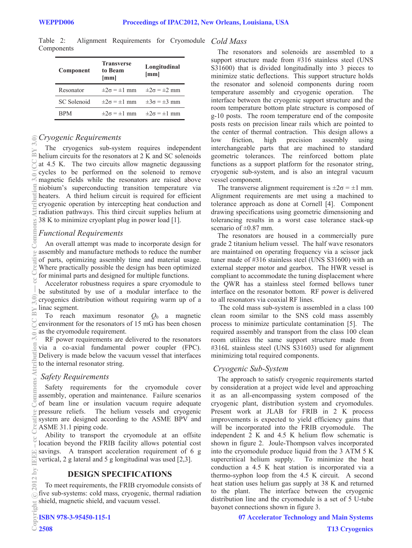| Component   | <b>Transverse</b><br>to Beam<br>[mm] | Longitudinal<br>[mm]                              |
|-------------|--------------------------------------|---------------------------------------------------|
| Resonator   |                                      | $\pm 2\sigma = \pm 1$ mm $\pm 2\sigma = \pm 2$ mm |
| SC Solenoid | $\pm 2\sigma = \pm 1$ mm             | $\pm 3\sigma = \pm 3$ mm                          |
| <b>BPM</b>  | $\pm 2\sigma = \pm 1$ mm             | $\pm 2\sigma = \pm 1$ mm                          |

Table 2: Alignment Requirements for Cryomodule *Cold Mass*  Components

## *Cryogenic Requirements*

The cryogenics sub-system requires independent  $\hat{=}$  helium circuits for the resonators at 2 K and SC solenoids at 4.5 K. The two circuits allow magnetic degaussing cycles to be performed on the solenoid to remove magnetic fields while the resonators are raised above niobium's superconducting transition temperature via heaters. A third helium circuit is required for efficient cryogenic operation by intercepting heat conduction and radiation pathways. This third circuit supplies helium at 38 K to minimize cryoplant plug in power load [1].

## *Functional Requirements*

An overall attempt was made to incorporate design for assembly and manufacture methods to reduce the number of parts, optimizing assembly time and material usage. Where practically possible the design has been optimized for minimal parts and designed for multiple functions.

Accelerator robustness requires a spare cryomodule to be substituted by use of a modular interface to the cryogenics distribution without requiring warm up of a linac segment.

To reach maximum resonator  $Q_0$  a magnetic environment for the resonators of 15 mG has been chosen as the cryomodule requirement.

RF power requirements are delivered to the resonators via a co-axial fundamental power coupler (FPC). Delivery is made below the vacuum vessel that interfaces to the internal resonator string.

### *Safety Requirements*

Safety requirements for the cryomodule cover assembly, operation and maintenance. Failure scenarios of beam line or insulation vacuum require adequate pressure reliefs. The helium vessels and cryogenic system are designed according to the ASME BPV and ASME 31.1 piping code.

Ability to transport the cryomodule at an offsite location beyond the FRIB facility allows potential cost savings. A transport acceleration requirement of 6 g vertical, 2 g lateral and 5 g longitudinal was used [2,3].

# **DESIGN SPECIFICATIONS**

To meet requirements, the FRIB cryomodule consists of five sub-systems: cold mass, cryogenic, thermal radiation shield, magnetic shield, and vacuum vessel.

The resonators and solenoids are assembled to a support structure made from #316 stainless steel (UNS S31600) that is divided longitudinally into 3 pieces to minimize static deflections. This support structure holds the resonator and solenoid components during room temperature assembly and cryogenic operation. The interface between the cryogenic support structure and the room temperature bottom plate structure is composed of g-10 posts. The room temperature end of the composite posts rests on precision linear rails which are pointed to the center of thermal contraction. This design allows a low friction, high precision assembly using interchangeable parts that are machined to standard geometric tolerances. The reinforced bottom plate functions as a support platform for the resonator string, cryogenic sub-system, and is also an integral vacuum vessel component.

The transverse alignment requirement is  $\pm 2\sigma = \pm 1$  mm. Alignment requirements are met using a machined to tolerance approach as done at Cornell [4]. Component drawing specifications using geometric dimensioning and tolerancing results in a worst case tolerance stack-up scenario of  $\pm 0.87$  mm.

The resonators are housed in a commercially pure grade 2 titanium helium vessel. The half wave resonators are maintained on operating frequency via a scissor jack tuner made of #316 stainless steel (UNS S31600) with an external stepper motor and gearbox. The HWR vessel is compliant to accommodate the tuning displacement where the QWR has a stainless steel formed bellows tuner interface on the resonator bottom. RF power is delivered to all resonators via coaxial RF lines.

 The cold mass sub-system is assembled in a class 100 clean room similar to the SNS cold mass assembly process to minimize particulate contamination [5]. The required assembly and transport from the class 100 clean room utilizes the same support structure made from #316L stainless steel (UNS S31603) used for alignment minimizing total required components.

# *Cryogenic Sub-System*

The approach to satisfy cryogenic requirements started by consideration at a project wide level and approaching it as an all-encompassing system composed of the cryogenic plant, distribution system and cryomodules. Present work at JLAB for FRIB in 2 K process improvements is expected to yield efficiency gains that will be incorporated into the FRIB cryomodule. The independent 2 K and 4.5 K helium flow schematic is shown in figure 2. Joule-Thompson valves incorporated into the cryomodule produce liquid from the 3 ATM 5 K supercritical helium supply. To minimize the heat conduction a 4.5 K heat station is incorporated via a thermo-syphon loop from the 4.5 K circuit. A second heat station uses helium gas supply at 38 K and returned to the plant. The interface between the cryogenic distribution line and the cryomodule is a set of 5 U-tube bayonet connections shown in figure 3.

07 Accelerator Technology and Main Systems